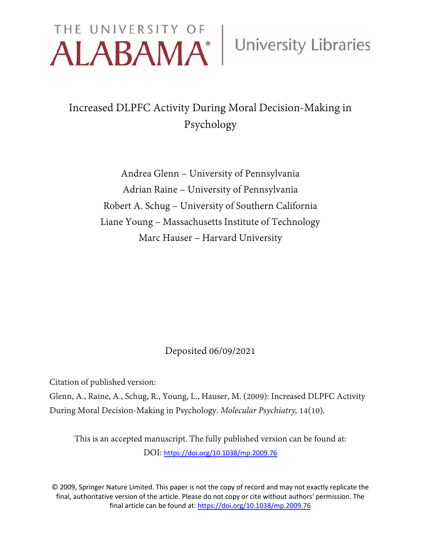# THE UNIVERSITY OF University Libraries

### Increased DLPFC Activity During Moral Decision-Making in Psychology

Andrea Glenn – University of Pennsylvania Adrian Raine – University of Pennsylvania Robert A. Schug – University of Southern California Liane Young – Massachusetts Institute of Technology Marc Hauser – Harvard University

Deposited 06/09/2021

Citation of published version:

Glenn, A., Raine, A., Schug, R., Young, L., Hauser, M. (2009): Increased DLPFC Activity During Moral Decision-Making in Psychology. *Molecular Psychiatry,* 14(10)*.*

This is an accepted manuscript. The fully published version can be found at: DOI: <https://doi.org/10.1038/mp.2009.76>

© 2009, Springer Nature Limited. This paper is not the copy of record and may not exactly replicate the final, authoritative version of the article. Please do not copy or cite without authors' permission. The final article can be found at:<https://doi.org/10.1038/mp.2009.76>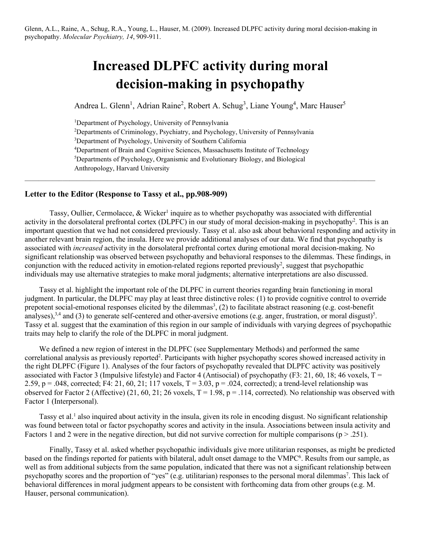## **Increased DLPFC activity during moral decision-making in psychopathy**

Andrea L. Glenn<sup>1</sup>, Adrian Raine<sup>2</sup>, Robert A. Schug<sup>3</sup>, Liane Young<sup>4</sup>, Marc Hauser<sup>5</sup>

<sup>1</sup>Department of Psychology, University of Pennsylvania

2 Departments of Criminology, Psychiatry, and Psychology, University of Pennsylvania <sup>3</sup>Department of Psychology, University of Southern California <sup>4</sup>Department of Brain and Cognitive Sciences, Massachusetts Institute of Technology 5 Departments of Psychology, Organismic and Evolutionary Biology, and Biological Anthropology, Harvard University

 $\mathcal{L}_\mathcal{L} = \{ \mathcal{L}_\mathcal{L} = \{ \mathcal{L}_\mathcal{L} = \{ \mathcal{L}_\mathcal{L} = \{ \mathcal{L}_\mathcal{L} = \{ \mathcal{L}_\mathcal{L} = \{ \mathcal{L}_\mathcal{L} = \{ \mathcal{L}_\mathcal{L} = \{ \mathcal{L}_\mathcal{L} = \{ \mathcal{L}_\mathcal{L} = \{ \mathcal{L}_\mathcal{L} = \{ \mathcal{L}_\mathcal{L} = \{ \mathcal{L}_\mathcal{L} = \{ \mathcal{L}_\mathcal{L} = \{ \mathcal{L}_\mathcal{$ 

#### **Letter to the Editor (Response to Tassy et al., pp.908-909)**

Tassy, Oullier, Cermolacce,  $\&$  Wicker<sup>1</sup> inquire as to whether psychopathy was associated with differential activity in the dorsolateral prefrontal cortex (DLPFC) in our study of moral decision-making in psychopathy<sup>2</sup>. This is an important question that we had not considered previously. Tassy et al. also ask about behavioral responding and activity in another relevant brain region, the insula. Here we provide additional analyses of our data. We find that psychopathy is associated with *increased* activity in the dorsolateral prefrontal cortex during emotional moral decision-making. No significant relationship was observed between psychopathy and behavioral responses to the dilemmas. These findings, in conjunction with the reduced activity in emotion-related regions reported previously<sup>2</sup>, suggest that psychopathic individuals may use alternative strategies to make moral judgments; alternative interpretations are also discussed.

Tassy et al. highlight the important role of the DLPFC in current theories regarding brain functioning in moral judgment. In particular, the DLPFC may play at least three distinctive roles: (1) to provide cognitive control to override prepotent social-emotional responses elicited by the dilemmas<sup>3</sup>, (2) to facilitate abstract reasoning (e.g. cost-benefit analyses),<sup>3,4</sup> and (3) to generate self-centered and other-aversive emotions (e.g. anger, frustration, or moral disgust)<sup>5</sup>. Tassy et al. suggest that the examination of this region in our sample of individuals with varying degrees of psychopathic traits may help to clarify the role of the DLPFC in moral judgment.

We defined a new region of interest in the DLPFC (see Supplementary Methods) and performed the same correlational analysis as previously reported<sup>2</sup>. Participants with higher psychopathy scores showed increased activity in the right DLPFC (Figure 1). Analyses of the four factors of psychopathy revealed that DLPFC activity was positively associated with Factor 3 (Impulsive lifestyle) and Factor 4 (Antisocial) of psychopathy (F3: 21, 60, 18; 46 voxels,  $T =$ 2.59, p = .048, corrected; F4: 21, 60, 21; 117 voxels,  $T = 3.03$ , p = .024, corrected); a trend-level relationship was observed for Factor 2 (Affective) (21, 60, 21; 26 voxels,  $T = 1.98$ ,  $p = .114$ , corrected). No relationship was observed with Factor 1 (Interpersonal).

Tassy et al.<sup>1</sup> also inquired about activity in the insula, given its role in encoding disgust. No significant relationship was found between total or factor psychopathy scores and activity in the insula. Associations between insula activity and Factors 1 and 2 were in the negative direction, but did not survive correction for multiple comparisons ( $p > .251$ ).

Finally, Tassy et al. asked whether psychopathic individuals give more utilitarian responses, as might be predicted based on the findings reported for patients with bilateral, adult onset damage to the VMPC<sup>6</sup>. Results from our sample, as well as from additional subjects from the same population, indicated that there was not a significant relationship between psychopathy scores and the proportion of "yes" (e.g. utilitarian) responses to the personal moral dilemmas<sup>7</sup>. This lack of behavioral differences in moral judgment appears to be consistent with forthcoming data from other groups (e.g. M. Hauser, personal communication).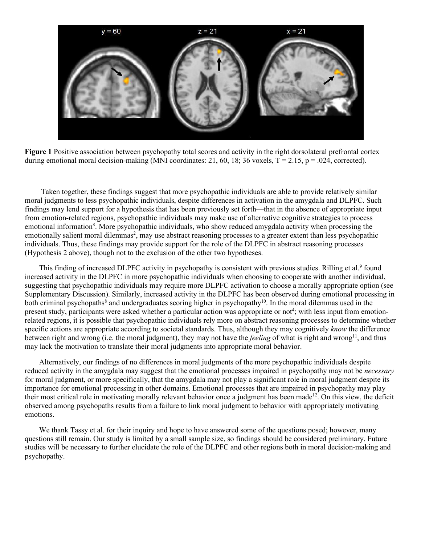

**Figure 1** Positive association between psychopathy total scores and activity in the right dorsolateral prefrontal cortex during emotional moral decision-making (MNI coordinates: 21, 60, 18; 36 voxels,  $T = 2.15$ ,  $p = .024$ , corrected).

Taken together, these findings suggest that more psychopathic individuals are able to provide relatively similar moral judgments to less psychopathic individuals, despite differences in activation in the amygdala and DLPFC. Such findings may lend support for a hypothesis that has been previously set forth—that in the absence of appropriate input from emotion-related regions, psychopathic individuals may make use of alternative cognitive strategies to process emotional information<sup>8</sup>. More psychopathic individuals, who show reduced amygdala activity when processing the emotionally salient moral dilemmas<sup>2</sup>, may use abstract reasoning processes to a greater extent than less psychopathic individuals. Thus, these findings may provide support for the role of the DLPFC in abstract reasoning processes (Hypothesis 2 above), though not to the exclusion of the other two hypotheses.

This finding of increased DLPFC activity in psychopathy is consistent with previous studies. Rilling et al.<sup>9</sup> found increased activity in the DLPFC in more psychopathic individuals when choosing to cooperate with another individual, suggesting that psychopathic individuals may require more DLPFC activation to choose a morally appropriate option (see Supplementary Discussion). Similarly, increased activity in the DLPFC has been observed during emotional processing in both criminal psychopaths<sup>8</sup> and undergraduates scoring higher in psychopathy<sup>10</sup>. In the moral dilemmas used in the present study, participants were asked whether a particular action was appropriate or not<sup>4</sup>; with less input from emotionrelated regions, it is possible that psychopathic individuals rely more on abstract reasoning processes to determine whether specific actions are appropriate according to societal standards. Thus, although they may cognitively *know* the difference between right and wrong (i.e. the moral judgment), they may not have the *feeling* of what is right and wrong<sup>11</sup>, and thus may lack the motivation to translate their moral judgments into appropriate moral behavior.

Alternatively, our findings of no differences in moral judgments of the more psychopathic individuals despite reduced activity in the amygdala may suggest that the emotional processes impaired in psychopathy may not be *necessary* for moral judgment, or more specifically, that the amygdala may not play a significant role in moral judgment despite its importance for emotional processing in other domains. Emotional processes that are impaired in psychopathy may play their most critical role in motivating morally relevant behavior once a judgment has been made<sup>12</sup>. On this view, the deficit observed among psychopaths results from a failure to link moral judgment to behavior with appropriately motivating emotions.

We thank Tassy et al. for their inquiry and hope to have answered some of the questions posed; however, many questions still remain. Our study is limited by a small sample size, so findings should be considered preliminary. Future studies will be necessary to further elucidate the role of the DLPFC and other regions both in moral decision-making and psychopathy.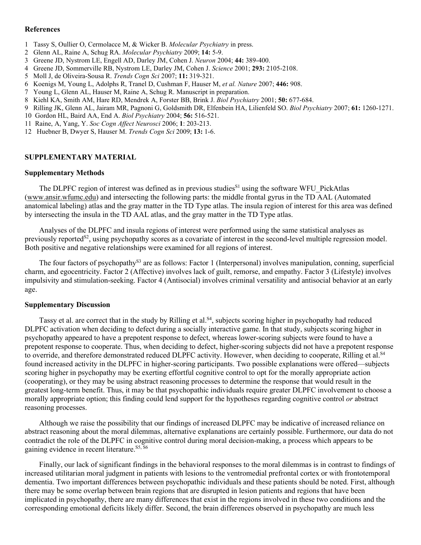#### **References**

- 1 Tassy S, Oullier O, Cermolacce M, & Wicker B. *Molecular Psychiatry* in press.
- 2 Glenn AL, Raine A, Schug RA. *Molecular Psychiatry* 2009; **14:** 5-9.
- 3 Greene JD, Nystrom LE, Engell AD, Darley JM, Cohen J. *Neuron* 2004; **44:** 389-400.
- 4 Greene JD, Sommerville RB, Nystrom LE, Darley JM, Cohen J. *Science* 2001; **293:** 2105-2108.
- 5 Moll J, de Oliveira-Sousa R. *Trends Cogn Sci* 2007; **11:** 319-321.
- 6 Koenigs M, Young L, Adolphs R, Tranel D, Cushman F, Hauser M, *et al. Nature* 2007; **446:** 908.
- 7 Young L, Glenn AL, Hauser M, Raine A, Schug R. Manuscript in preparation.
- 8 Kiehl KA, Smith AM, Hare RD, Mendrek A, Forster BB, Brink J. *Biol Psychiatry* 2001; **50:** 677-684.
- 9 Rilling JK, Glenn AL, Jairam MR, Pagnoni G, Goldsmith DR, Elfenbein HA, Lilienfeld SO. *Biol Psychiatry* 2007; **61:** 1260-1271.
- 10 Gordon HL, Baird AA, End A. *Biol Psychiatry* 2004; **56:** 516-521.
- 11 Raine, A, Yang, Y. *Soc Cogn Affect Neurosci* 2006; **1**: 203-213.
- 12 Huebner B, Dwyer S, Hauser M. *Trends Cogn Sci* 2009; **13:** 1-6.

#### **SUPPLEMENTARY MATERIAL**

#### **Supplementary Methods**

The DLPFC region of interest was defined as in previous studies<sup>S1</sup> using the software WFU PickAtlas [\(www.ansir.wfumc.edu\)](http://www.ansir.wfumc.edu/) and intersecting the following parts: the middle frontal gyrus in the TD AAL (Automated anatomical labeling) atlas and the gray matter in the TD Type atlas. The insula region of interest for this area was defined by intersecting the insula in the TD AAL atlas, and the gray matter in the TD Type atlas.

Analyses of the DLPFC and insula regions of interest were performed using the same statistical analyses as previously reported<sup>S2</sup>, using psychopathy scores as a covariate of interest in the second-level multiple regression model. Both positive and negative relationships were examined for all regions of interest.

The four factors of psychopathy<sup>S3</sup> are as follows: Factor 1 (Interpersonal) involves manipulation, conning, superficial charm, and egocentricity. Factor 2 (Affective) involves lack of guilt, remorse, and empathy. Factor 3 (Lifestyle) involves impulsivity and stimulation-seeking. Factor 4 (Antisocial) involves criminal versatility and antisocial behavior at an early age.

#### **Supplementary Discussion**

Tassy et al. are correct that in the study by Rilling et al.<sup>S4</sup>, subjects scoring higher in psychopathy had reduced DLPFC activation when deciding to defect during a socially interactive game. In that study, subjects scoring higher in psychopathy appeared to have a prepotent response to defect, whereas lower-scoring subjects were found to have a prepotent response to cooperate. Thus, when deciding to defect, higher-scoring subjects did not have a prepotent response to override, and therefore demonstrated reduced DLPFC activity. However, when deciding to cooperate, Rilling et al.<sup>S4</sup> found increased activity in the DLPFC in higher-scoring participants. Two possible explanations were offered—subjects scoring higher in psychopathy may be exerting effortful cognitive control to opt for the morally appropriate action (cooperating), or they may be using abstract reasoning processes to determine the response that would result in the greatest long-term benefit. Thus, it may be that psychopathic individuals require greater DLPFC involvement to choose a morally appropriate option; this finding could lend support for the hypotheses regarding cognitive control *or* abstract reasoning processes.

Although we raise the possibility that our findings of increased DLPFC may be indicative of increased reliance on abstract reasoning about the moral dilemmas, alternative explanations are certainly possible. Furthermore, our data do not contradict the role of the DLPFC in cognitive control during moral decision-making, a process which appears to be gaining evidence in recent literature.<sup>S5, S6</sup>

Finally, our lack of significant findings in the behavioral responses to the moral dilemmas is in contrast to findings of increased utilitarian moral judgment in patients with lesions to the ventromedial prefrontal cortex or with frontotemporal dementia. Two important differences between psychopathic individuals and these patients should be noted. First, although there may be some overlap between brain regions that are disrupted in lesion patients and regions that have been implicated in psychopathy, there are many differences that exist in the regions involved in these two conditions and the corresponding emotional deficits likely differ. Second, the brain differences observed in psychopathy are much less